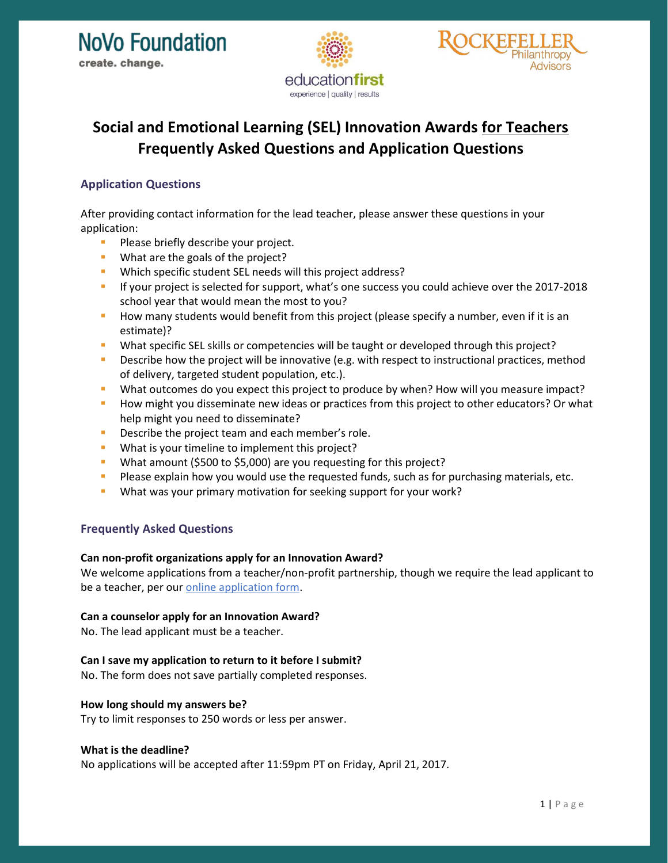



# Social and Emotional Learning (SEL) Innovation Awards for Teachers Frequently Asked Questions and Application Questions

## Application Questions

After providing contact information for the lead teacher, please answer these questions in your application:

- **Please briefly describe your project.**
- **What are the goals of the project?**
- **Which specific student SEL needs will this project address?**
- **If your project is selected for support, what's one success you could achieve over the 2017-2018** school year that would mean the most to you?
- **How many students would benefit from this project (please specify a number, even if it is an** estimate)?
- What specific SEL skills or competencies will be taught or developed through this project?
- **•** Describe how the project will be innovative (e.g. with respect to instructional practices, method of delivery, targeted student population, etc.).
- What outcomes do you expect this project to produce by when? How will you measure impact?
- **How might you disseminate new ideas or practices from this project to other educators? Or what** help might you need to disseminate?
- Describe the project team and each member's role.
- What is your timeline to implement this project?
- What amount (\$500 to \$5,000) are you requesting for this project?
- **Please explain how you would use the requested funds, such as for purchasing materials, etc.**
- What was your primary motivation for seeking support for your work?

### Frequently Asked Questions

#### Can non-profit organizations apply for an Innovation Award?

We welcome applications from a teacher/non-profit partnership, though we require the lead applicant to be a teacher, per our **online application** form.

#### Can a counselor apply for an Innovation Award?

No. The lead applicant must be a teacher.

#### Can I save my application to return to it before I submit?

No. The form does not save partially completed responses.

#### How long should my answers be?

Try to limit responses to 250 words or less per answer.

#### What is the deadline?

No applications will be accepted after 11:59pm PT on Friday, April 21, 2017.